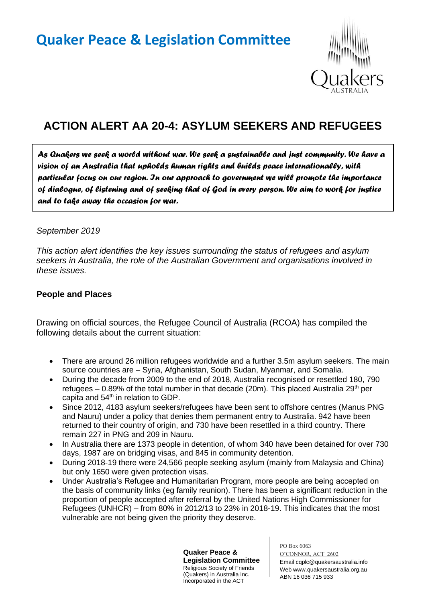

# **ACTION ALERT AA 20-4: ASYLUM SEEKERS AND REFUGEES**

*As Quakers we seek a world without war. We seek a sustainable and just community. We have a vision of an Australia that upholds human rights and builds peace internationally, with particular focus on our region. In our approach to government we will promote the importance of dialogue, of listening and of seeking that of God in every person. We aim to work for justice and to take away the occasion for war.* 

#### *September 2019*

*This action alert identifies the key issues surrounding the status of refugees and asylum seekers in Australia, the role of the Australian Government and organisations involved in these issues.*

#### **People and Places**

Drawing on official sources, the Refugee Council of Australia (RCOA) has compiled the following details about the current situation:

- There are around 26 million refugees worldwide and a further 3.5m asylum seekers. The main source countries are – Syria, Afghanistan, South Sudan, Myanmar, and Somalia.
- During the decade from 2009 to the end of 2018. Australia recognised or resettled 180, 790 refugees  $-$  0.89% of the total number in that decade (20m). This placed Australia 29<sup>th</sup> per capita and  $54<sup>th</sup>$  in relation to GDP.
- Since 2012, 4183 asylum seekers/refugees have been sent to offshore centres (Manus PNG and Nauru) under a policy that denies them permanent entry to Australia. 942 have been returned to their country of origin, and 730 have been resettled in a third country. There remain 227 in PNG and 209 in Nauru.
- In Australia there are 1373 people in detention, of whom 340 have been detained for over 730 days, 1987 are on bridging visas, and 845 in community detention.
- During 2018-19 there were 24,566 people seeking asylum (mainly from Malaysia and China) but only 1650 were given protection visas.
- Under Australia's Refugee and Humanitarian Program, more people are being accepted on the basis of community links (eg family reunion). There has been a significant reduction in the proportion of people accepted after referral by the United Nations High Commissioner for Refugees (UNHCR) – from 80% in 2012/13 to 23% in 2018-19. This indicates that the most vulnerable are not being given the priority they deserve.

**Quaker Peace & Legislation Committee** Religious Society of Friends (Quakers) in Australia Inc. Incorporated in the ACT

PO Box 6063 O'CONNOR, ACT 2602 Email cqplc@quakersaustralia.info Web www.quakersaustralia.org.au ABN 16 036 715 933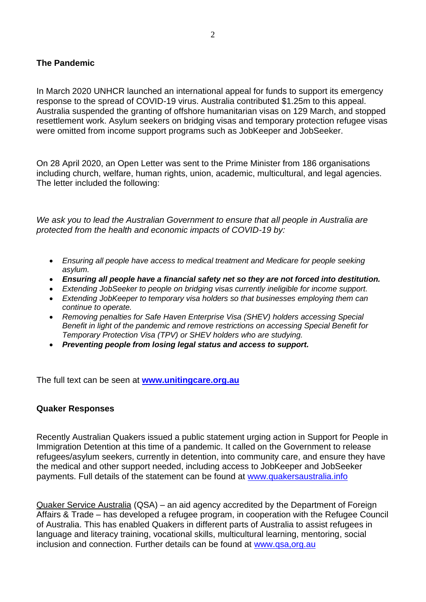### **The Pandemic**

In March 2020 UNHCR launched an international appeal for funds to support its emergency response to the spread of COVID-19 virus. Australia contributed \$1.25m to this appeal. Australia suspended the granting of offshore humanitarian visas on 129 March, and stopped resettlement work. Asylum seekers on bridging visas and temporary protection refugee visas were omitted from income support programs such as JobKeeper and JobSeeker.

On 28 April 2020, an Open Letter was sent to the Prime Minister from 186 organisations including church, welfare, human rights, union, academic, multicultural, and legal agencies. The letter included the following:

*We ask you to lead the Australian Government to ensure that all people in Australia are protected from the health and economic impacts of COVID-19 by:*

- *Ensuring all people have access to medical treatment and Medicare for people seeking asylum.*
- *Ensuring all people have a financial safety net so they are not forced into destitution.*
- *Extending JobSeeker to people on bridging visas currently ineligible for income support.*
- *Extending JobKeeper to temporary visa holders so that businesses employing them can continue to operate.*
- *Removing penalties for Safe Haven Enterprise Visa (SHEV) holders accessing Special Benefit in light of the pandemic and remove restrictions on accessing Special Benefit for Temporary Protection Visa (TPV) or SHEV holders who are studying.*
- *Preventing people from losing legal status and access to support.*

The full text can be seen at **[www.unitingcare.org.au](http://www.unitingcare.org.au/)**

#### **Quaker Responses**

Recently Australian Quakers issued a public statement urging action in Support for People in Immigration Detention at this time of a pandemic. It called on the Government to release refugees/asylum seekers, currently in detention, into community care, and ensure they have the medical and other support needed, including access to JobKeeper and JobSeeker payments. Full details of the statement can be found at www.quakersaustralia.info

Quaker Service Australia (QSA) – an aid agency accredited by the Department of Foreign Affairs & Trade – has developed a refugee program, in cooperation with the Refugee Council of Australia. This has enabled Quakers in different parts of Australia to assist refugees in language and literacy training, vocational skills, multicultural learning, mentoring, social inclusion and connection. Further details can be found at [www.qsa,org.au](http://www.qsa,org.au/)